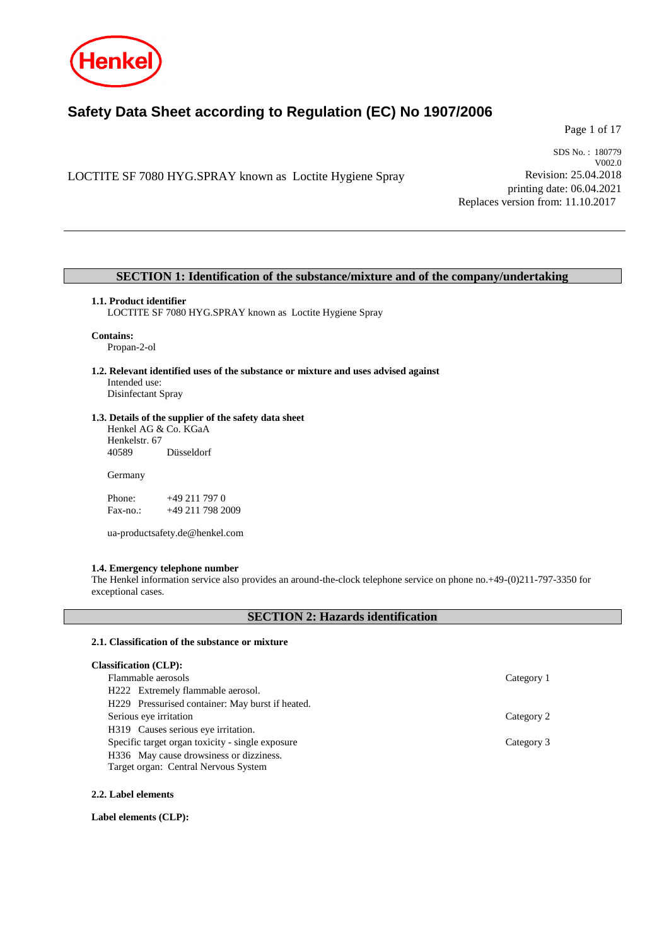

# **Safety Data Sheet according to Regulation (EC) No 1907/2006**

Page 1 of 17

LOCTITE SF 7080 HYG.SPRAY known as Loctite Hygiene Spray

SDS No. : 180779 V002.0 Revision: 25.04.2018 printing date: 06.04.2021 Replaces version from: 11.10.2017

## **SECTION 1: Identification of the substance/mixture and of the company/undertaking**

#### **1.1. Product identifier**

LOCTITE SF 7080 HYG.SPRAY known as Loctite Hygiene Spray

#### **Contains:**

Propan-2-ol

**1.2. Relevant identified uses of the substance or mixture and uses advised against** Intended use:

Disinfectant Spray

## **1.3. Details of the supplier of the safety data sheet**

Henkel AG & Co. KGaA Henkelstr. 67<br>40589 Düsseldorf

Germany

Phone: +49 211 797 0<br>Fax-no.: +49 211 798 20 +49 211 798 2009

ua-productsafety.de@henkel.com

## **1.4. Emergency telephone number**

The Henkel information service also provides an around-the-clock telephone service on phone no.+49-(0)211-797-3350 for exceptional cases.

# **SECTION 2: Hazards identification**

## **2.1. Classification of the substance or mixture**

| <b>Classification (CLP):</b>                     |            |
|--------------------------------------------------|------------|
| Flammable aerosols                               | Category 1 |
| H222 Extremely flammable aerosol.                |            |
| H229 Pressurised container: May burst if heated. |            |
| Serious eye irritation                           | Category 2 |
| H319 Causes serious eye irritation.              |            |
| Specific target organ toxicity - single exposure | Category 3 |
| H336 May cause drowsiness or dizziness.          |            |
| Target organ: Central Nervous System             |            |

## **2.2. Label elements**

**Label elements (CLP):**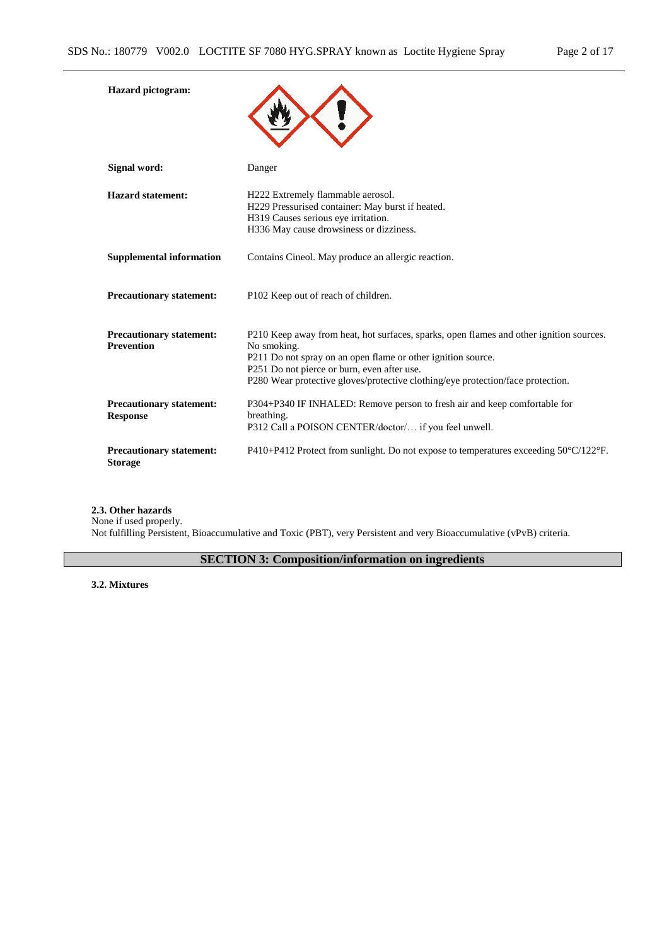| <b>Hazard</b> pictogram:                             |                                                                                                                                                                                                                                                                                                          |
|------------------------------------------------------|----------------------------------------------------------------------------------------------------------------------------------------------------------------------------------------------------------------------------------------------------------------------------------------------------------|
| <b>Signal word:</b>                                  | Danger                                                                                                                                                                                                                                                                                                   |
| <b>Hazard statement:</b>                             | H222 Extremely flammable aerosol.<br>H229 Pressurised container: May burst if heated.<br>H319 Causes serious eye irritation.<br>H336 May cause drowsiness or dizziness.                                                                                                                                  |
| <b>Supplemental information</b>                      | Contains Cineol. May produce an allergic reaction.                                                                                                                                                                                                                                                       |
| <b>Precautionary statement:</b>                      | P102 Keep out of reach of children.                                                                                                                                                                                                                                                                      |
| <b>Precautionary statement:</b><br><b>Prevention</b> | P210 Keep away from heat, hot surfaces, sparks, open flames and other ignition sources.<br>No smoking.<br>P211 Do not spray on an open flame or other ignition source.<br>P251 Do not pierce or burn, even after use.<br>P280 Wear protective gloves/protective clothing/eye protection/face protection. |
| <b>Precautionary statement:</b><br><b>Response</b>   | P304+P340 IF INHALED: Remove person to fresh air and keep comfortable for<br>breathing.<br>P312 Call a POISON CENTER/doctor/ if you feel unwell.                                                                                                                                                         |
| <b>Precautionary statement:</b><br><b>Storage</b>    | P410+P412 Protect from sunlight. Do not expose to temperatures exceeding $50^{\circ}C/122^{\circ}F$ .                                                                                                                                                                                                    |

**2.3. Other hazards**

None if used properly. Not fulfilling Persistent, Bioaccumulative and Toxic (PBT), very Persistent and very Bioaccumulative (vPvB) criteria.

# **SECTION 3: Composition/information on ingredients**

**3.2. Mixtures**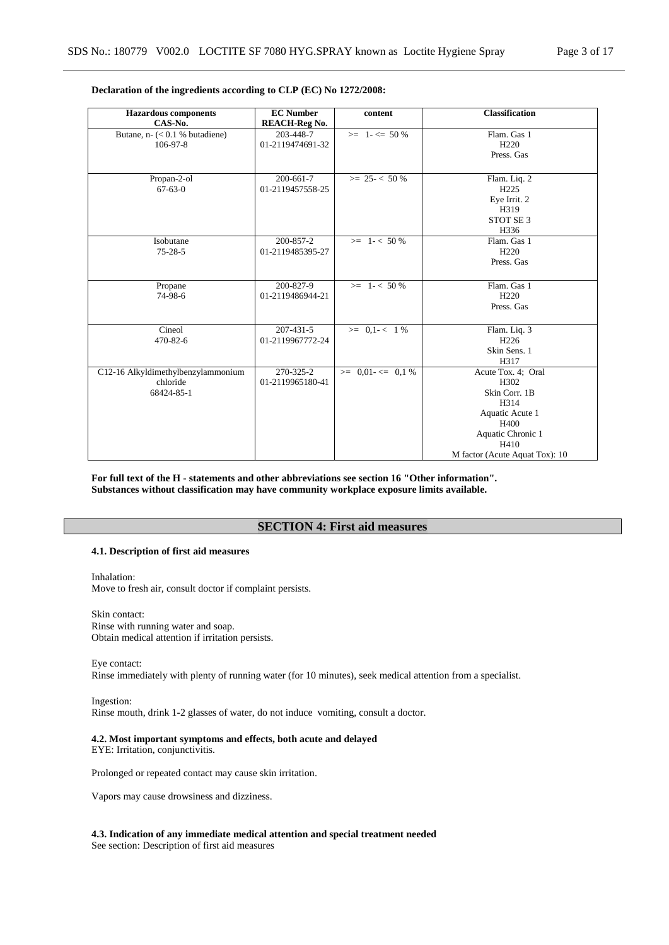| <b>Hazardous</b> components                                         | <b>EC Number</b>                    | content                  | <b>Classification</b>                                                                                                                         |
|---------------------------------------------------------------------|-------------------------------------|--------------------------|-----------------------------------------------------------------------------------------------------------------------------------------------|
| CAS-No.                                                             | <b>REACH-Reg No.</b>                |                          |                                                                                                                                               |
| Butane, $n - \left( < 0.1 \text{ %} \right)$ butadiene)<br>106-97-8 | 203-448-7<br>01-2119474691-32       | $>= 1 - \le 50\%$        | Flam. Gas 1<br>H <sub>220</sub><br>Press. Gas                                                                                                 |
| Propan-2-ol<br>$67 - 63 - 0$                                        | 200-661-7<br>01-2119457558-25       | $\geq$ 25 - < 50 %       | Flam. Liq. 2<br>H <sub>225</sub><br>Eye Irrit. 2<br>H319<br>STOT SE <sub>3</sub><br>H336                                                      |
| Isobutane<br>$75 - 28 - 5$                                          | 200-857-2<br>01-2119485395-27       | $>= 1 - 50\%$            | Flam. Gas 1<br>H <sub>220</sub><br>Press. Gas                                                                                                 |
| Propane<br>74-98-6                                                  | 200-827-9<br>01-2119486944-21       | $>= 1 - 50\%$            | Flam. Gas 1<br>H <sub>220</sub><br>Press. Gas                                                                                                 |
| Cineol<br>470-82-6                                                  | $207 - 431 - 5$<br>01-2119967772-24 | $>= 0.1 - < 1\%$         | Flam. Liq. 3<br>H <sub>226</sub><br>Skin Sens. 1<br>H317                                                                                      |
| C12-16 Alkyldimethylbenzylammonium<br>chloride<br>68424-85-1        | 270-325-2<br>01-2119965180-41       | $\geq 0.01 - \leq 0.1\%$ | Acute Tox. 4; Oral<br>H302<br>Skin Corr. 1B<br>H314<br>Aquatic Acute 1<br>H400<br>Aquatic Chronic 1<br>H410<br>M factor (Acute Aquat Tox): 10 |

## **Declaration of the ingredients according to CLP (EC) No 1272/2008:**

**For full text of the H - statements and other abbreviations see section 16 "Other information". Substances without classification may have community workplace exposure limits available.**

# **SECTION 4: First aid measures**

### **4.1. Description of first aid measures**

Inhalation: Move to fresh air, consult doctor if complaint persists.

Skin contact: Rinse with running water and soap. Obtain medical attention if irritation persists.

Eye contact: Rinse immediately with plenty of running water (for 10 minutes), seek medical attention from a specialist.

Ingestion: Rinse mouth, drink 1-2 glasses of water, do not induce vomiting, consult a doctor.

## **4.2. Most important symptoms and effects, both acute and delayed**

EYE: Irritation, conjunctivitis.

Prolonged or repeated contact may cause skin irritation.

Vapors may cause drowsiness and dizziness.

**4.3. Indication of any immediate medical attention and special treatment needed** See section: Description of first aid measures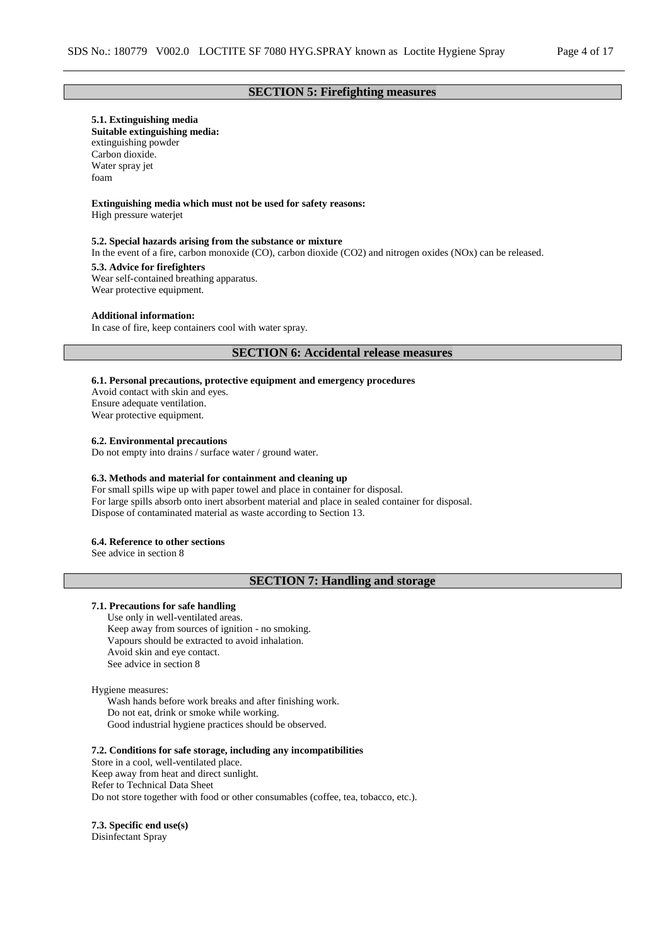# **SECTION 5: Firefighting measures**

#### **5.1. Extinguishing media**

**Suitable extinguishing media:** extinguishing powder Carbon dioxide. Water spray jet foam

## **Extinguishing media which must not be used for safety reasons:**

High pressure waterjet

#### **5.2. Special hazards arising from the substance or mixture**

In the event of a fire, carbon monoxide (CO), carbon dioxide (CO2) and nitrogen oxides (NOx) can be released.

## **5.3. Advice for firefighters**

Wear self-contained breathing apparatus. Wear protective equipment.

#### **Additional information:**

In case of fire, keep containers cool with water spray.

## **SECTION 6: Accidental release measures**

#### **6.1. Personal precautions, protective equipment and emergency procedures**

Avoid contact with skin and eyes. Ensure adequate ventilation. Wear protective equipment.

### **6.2. Environmental precautions**

Do not empty into drains / surface water / ground water.

#### **6.3. Methods and material for containment and cleaning up**

For small spills wipe up with paper towel and place in container for disposal. For large spills absorb onto inert absorbent material and place in sealed container for disposal. Dispose of contaminated material as waste according to Section 13.

## **6.4. Reference to other sections**

See advice in section 8

## **SECTION 7: Handling and storage**

#### **7.1. Precautions for safe handling**

Use only in well-ventilated areas. Keep away from sources of ignition - no smoking. Vapours should be extracted to avoid inhalation. Avoid skin and eye contact. See advice in section 8

#### Hygiene measures:

Wash hands before work breaks and after finishing work. Do not eat, drink or smoke while working. Good industrial hygiene practices should be observed.

#### **7.2. Conditions for safe storage, including any incompatibilities**

Store in a cool, well-ventilated place. Keep away from heat and direct sunlight. Refer to Technical Data Sheet Do not store together with food or other consumables (coffee, tea, tobacco, etc.).

#### **7.3. Specific end use(s)**

Disinfectant Spray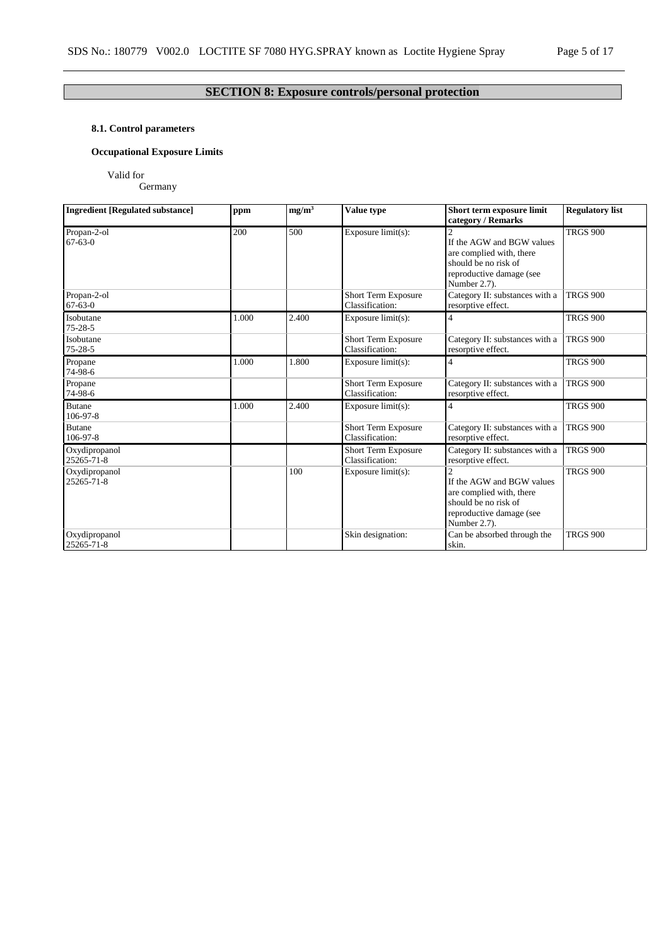# **SECTION 8: Exposure controls/personal protection**

# **8.1. Control parameters**

# **Occupational Exposure Limits**

Valid for

Germany

| <b>Ingredient [Regulated substance]</b> | ppm   | mg/m <sup>3</sup> | Value type                                    | Short term exposure limit<br>category / Remarks                                                                                             | <b>Regulatory list</b> |  |
|-----------------------------------------|-------|-------------------|-----------------------------------------------|---------------------------------------------------------------------------------------------------------------------------------------------|------------------------|--|
| Propan-2-ol<br>$67 - 63 - 0$            | 200   | 500               | Exposure limit(s):                            | If the AGW and BGW values<br>are complied with, there<br>should be no risk of<br>reproductive damage (see<br>Number 2.7).                   | <b>TRGS 900</b>        |  |
| Propan-2-ol<br>$67 - 63 - 0$            |       |                   | <b>Short Term Exposure</b><br>Classification: | Category II: substances with a<br>resorptive effect.                                                                                        | <b>TRGS 900</b>        |  |
| Isobutane<br>$75 - 28 - 5$              | 1.000 | 2.400             | Exposure $limit(s)$ :                         | 4                                                                                                                                           | <b>TRGS 900</b>        |  |
| Isobutane<br>$75 - 28 - 5$              |       |                   | <b>Short Term Exposure</b><br>Classification: | Category II: substances with a<br>resorptive effect.                                                                                        | <b>TRGS 900</b>        |  |
| Propane<br>74-98-6                      | 1.000 | 1.800             | Exposure $limit(s)$ :                         | 4                                                                                                                                           | <b>TRGS 900</b>        |  |
| Propane<br>74-98-6                      |       |                   | Short Term Exposure<br>Classification:        | Category II: substances with a<br>resorptive effect.                                                                                        | <b>TRGS 900</b>        |  |
| <b>Butane</b><br>106-97-8               | 1.000 | 2.400             | Exposure $limit(s)$ :                         | 4                                                                                                                                           | <b>TRGS 900</b>        |  |
| <b>Butane</b><br>106-97-8               |       |                   | Short Term Exposure<br>Classification:        | Category II: substances with a<br>resorptive effect.                                                                                        | <b>TRGS 900</b>        |  |
| Oxydipropanol<br>25265-71-8             |       |                   | <b>Short Term Exposure</b><br>Classification: | Category II: substances with a<br>resorptive effect.                                                                                        | <b>TRGS 900</b>        |  |
| Oxydipropanol<br>25265-71-8             |       | 100               | Exposure limit(s):                            | $\overline{2}$<br>If the AGW and BGW values<br>are complied with, there<br>should be no risk of<br>reproductive damage (see<br>Number 2.7). | <b>TRGS 900</b>        |  |
| Oxydipropanol<br>25265-71-8             |       |                   | Skin designation:                             | Can be absorbed through the<br>skin.                                                                                                        | <b>TRGS 900</b>        |  |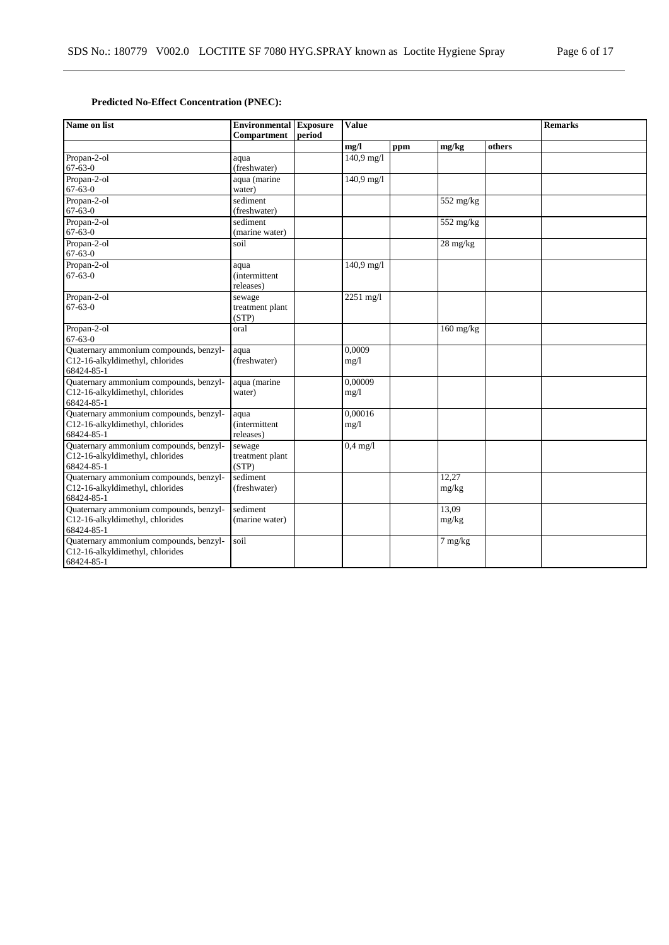# **Predicted No-Effect Concentration (PNEC):**

| Name on list                                                                            | <b>Value</b><br><b>Environmental Exposure</b><br><b>Compartment</b><br>period |  |                 |     |                        | <b>Remarks</b> |  |
|-----------------------------------------------------------------------------------------|-------------------------------------------------------------------------------|--|-----------------|-----|------------------------|----------------|--|
|                                                                                         |                                                                               |  | mg/l            | ppm | mg/kg                  | others         |  |
| Propan-2-ol<br>$67 - 63 - 0$                                                            | aqua<br>(freshwater)                                                          |  | 140,9 mg/l      |     |                        |                |  |
| Propan-2-ol<br>$67 - 63 - 0$                                                            | aqua (marine<br>water)                                                        |  | 140,9 mg/l      |     |                        |                |  |
| Propan-2-ol<br>$67 - 63 - 0$                                                            | sediment<br>(freshwater)                                                      |  |                 |     | $\overline{552}$ mg/kg |                |  |
| Propan-2-ol<br>$67 - 63 - 0$                                                            | sediment<br>(marine water)                                                    |  |                 |     | $552 \text{ mg/kg}$    |                |  |
| Propan-2-ol<br>$67 - 63 - 0$                                                            | soil                                                                          |  |                 |     | $28 \text{ mg/kg}$     |                |  |
| Propan-2-ol<br>$67 - 63 - 0$                                                            | aqua<br><i>(intermittent)</i><br>releases)                                    |  | $140,9$ mg/l    |     |                        |                |  |
| Propan-2-ol<br>$67 - 63 - 0$                                                            | sewage<br>treatment plant<br>(STP)                                            |  | 2251 mg/l       |     |                        |                |  |
| Propan-2-ol<br>$67 - 63 - 0$                                                            | oral                                                                          |  |                 |     | $160$ mg/kg            |                |  |
| Quaternary ammonium compounds, benzyl-<br>C12-16-alkyldimethyl, chlorides<br>68424-85-1 | aqua<br>(freshwater)                                                          |  | 0.0009<br>mg/1  |     |                        |                |  |
| Quaternary ammonium compounds, benzyl-<br>C12-16-alkyldimethyl, chlorides<br>68424-85-1 | aqua (marine<br>water)                                                        |  | 0,00009<br>mg/1 |     |                        |                |  |
| Quaternary ammonium compounds, benzyl-<br>C12-16-alkyldimethyl, chlorides<br>68424-85-1 | aqua<br><i>(intermittent)</i><br>releases)                                    |  | 0,00016<br>mg/1 |     |                        |                |  |
| Quaternary ammonium compounds, benzyl-<br>C12-16-alkyldimethyl, chlorides<br>68424-85-1 | sewage<br>treatment plant<br>(STP)                                            |  | $0.4$ mg/l      |     |                        |                |  |
| Quaternary ammonium compounds, benzyl-<br>C12-16-alkyldimethyl, chlorides<br>68424-85-1 | sediment<br>(freshwater)                                                      |  |                 |     | 12.27<br>mg/kg         |                |  |
| Quaternary ammonium compounds, benzyl-<br>C12-16-alkyldimethyl, chlorides<br>68424-85-1 | sediment<br>(marine water)                                                    |  |                 |     | 13.09<br>mg/kg         |                |  |
| Quaternary ammonium compounds, benzyl-<br>C12-16-alkyldimethyl, chlorides<br>68424-85-1 | soil                                                                          |  |                 |     | 7 mg/kg                |                |  |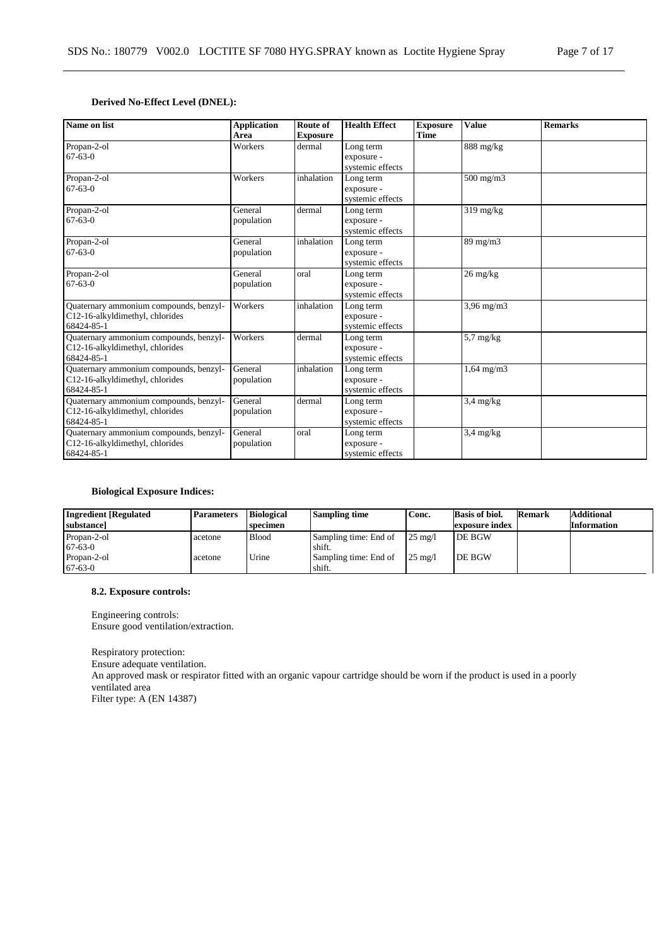# **Derived No-Effect Level (DNEL):**

| Name on list                                                                            | <b>Application</b><br>Area | Route of<br><b>Exposure</b> | <b>Health Effect</b>                        | <b>Exposure</b><br><b>Time</b> | <b>Value</b>                     | <b>Remarks</b> |
|-----------------------------------------------------------------------------------------|----------------------------|-----------------------------|---------------------------------------------|--------------------------------|----------------------------------|----------------|
| Propan-2-ol<br>$67-63-0$                                                                | Workers                    | dermal                      | Long term<br>exposure -<br>systemic effects |                                | $888$ mg/kg                      |                |
| Propan-2-ol<br>$67 - 63 - 0$                                                            | Workers                    | inhalation                  | Long term<br>exposure -<br>systemic effects |                                | $500 \text{ mg/m}$               |                |
| Propan-2-ol<br>$67 - 63 - 0$                                                            | General<br>population      | dermal                      | Long term<br>exposure -<br>systemic effects |                                | $319 \text{ mg/kg}$              |                |
| Propan-2-ol<br>$67 - 63 - 0$                                                            | General<br>population      | inhalation                  | Long term<br>exposure -<br>systemic effects |                                | $89 \text{ mg/m}$                |                |
| Propan-2-ol<br>$67 - 63 - 0$                                                            | General<br>population      | oral                        | Long term<br>exposure -<br>systemic effects |                                | $26 \frac{\text{mg}}{\text{kg}}$ |                |
| Quaternary ammonium compounds, benzyl-<br>C12-16-alkyldimethyl, chlorides<br>68424-85-1 | Workers                    | inhalation                  | Long term<br>exposure -<br>systemic effects |                                | $3,96$ mg/m $3$                  |                |
| Quaternary ammonium compounds, benzyl-<br>C12-16-alkyldimethyl, chlorides<br>68424-85-1 | Workers                    | dermal                      | Long term<br>exposure -<br>systemic effects |                                | $5.7 \text{ mg/kg}$              |                |
| Quaternary ammonium compounds, benzyl-<br>C12-16-alkyldimethyl, chlorides<br>68424-85-1 | General<br>population      | inhalation                  | Long term<br>exposure -<br>systemic effects |                                | $1,64$ mg/m $3$                  |                |
| Quaternary ammonium compounds, benzyl-<br>C12-16-alkyldimethyl, chlorides<br>68424-85-1 | General<br>population      | dermal                      | Long term<br>exposure -<br>systemic effects |                                | $3,4$ mg/kg                      |                |
| Quaternary ammonium compounds, benzyl-<br>C12-16-alkyldimethyl, chlorides<br>68424-85-1 | General<br>population      | oral                        | Long term<br>exposure -<br>systemic effects |                                | $3,4$ mg/kg                      |                |

## **Biological Exposure Indices:**

| <b>Ingredient</b> [Regulated]<br>substance | <b>Parameters</b> | <b>Biological</b><br>specimen | <b>Sampling time</b>  | Conc.             | <b>Basis of biol.</b><br>exposure index | Remark | <b>Additional</b><br><b>Information</b> |
|--------------------------------------------|-------------------|-------------------------------|-----------------------|-------------------|-----------------------------------------|--------|-----------------------------------------|
| Propan-2-ol                                | acetone           | <b>Blood</b>                  | Sampling time: End of | $25 \text{ mg}/1$ | <b>DE BGW</b>                           |        |                                         |
| $67-63-0$                                  |                   |                               | shift.                |                   |                                         |        |                                         |
| Propan-2-ol                                | acetone           | Urine                         | Sampling time: End of | $25 \text{ mg}/1$ | DE BGW                                  |        |                                         |
| $67-63-0$                                  |                   |                               | shift.                |                   |                                         |        |                                         |

## **8.2. Exposure controls:**

Engineering controls: Ensure good ventilation/extraction.

Respiratory protection: Ensure adequate ventilation. An approved mask or respirator fitted with an organic vapour cartridge should be worn if the product is used in a poorly ventilated area Filter type: A (EN 14387)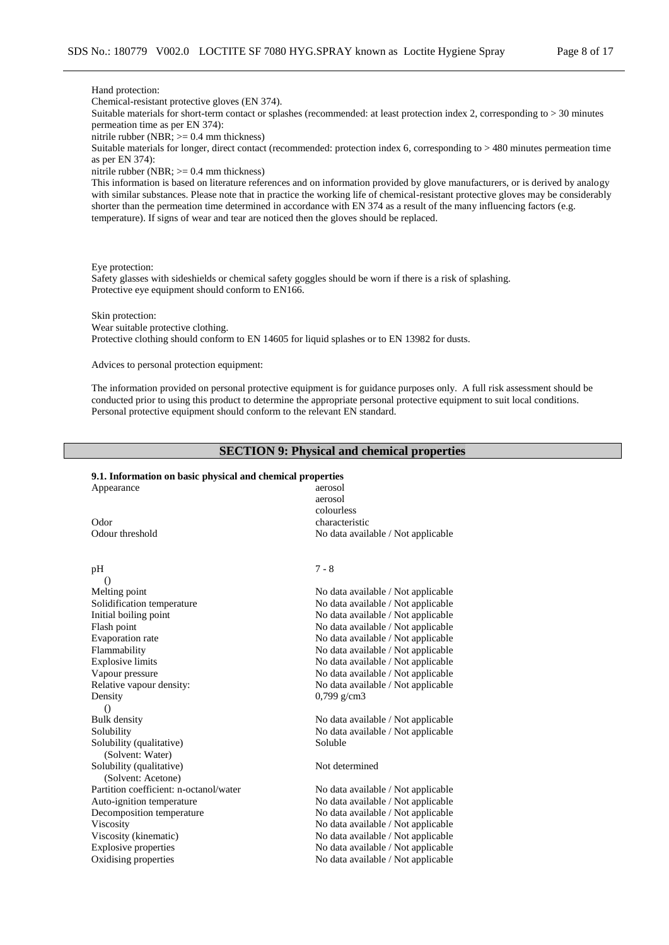#### Hand protection:

Chemical-resistant protective gloves (EN 374).

Suitable materials for short-term contact or splashes (recommended: at least protection index 2, corresponding to > 30 minutes permeation time as per EN 374):

nitrile rubber (NBR;  $>= 0.4$  mm thickness)

Suitable materials for longer, direct contact (recommended: protection index 6, corresponding to > 480 minutes permeation time as per EN 374):

nitrile rubber (NBR;  $>= 0.4$  mm thickness)

This information is based on literature references and on information provided by glove manufacturers, or is derived by analogy with similar substances. Please note that in practice the working life of chemical-resistant protective gloves may be considerably shorter than the permeation time determined in accordance with EN 374 as a result of the many influencing factors (e.g. temperature). If signs of wear and tear are noticed then the gloves should be replaced.

Eye protection:

Safety glasses with sideshields or chemical safety goggles should be worn if there is a risk of splashing. Protective eye equipment should conform to EN166.

Skin protection:

Wear suitable protective clothing. Protective clothing should conform to EN 14605 for liquid splashes or to EN 13982 for dusts.

Advices to personal protection equipment:

The information provided on personal protective equipment is for guidance purposes only. A full risk assessment should be conducted prior to using this product to determine the appropriate personal protective equipment to suit local conditions. Personal protective equipment should conform to the relevant EN standard.

## **SECTION 9: Physical and chemical properties**

#### **9.1. Information on basic physical and chemical properties** Appearance aerosol

| aciosoi<br>aerosol<br>colourless   |
|------------------------------------|
| characteristic                     |
| No data available / Not applicable |
| $7 - 8$                            |
|                                    |
| No data available / Not applicable |
| No data available / Not applicable |
| No data available / Not applicable |
| No data available / Not applicable |
| No data available / Not applicable |
| No data available / Not applicable |
| No data available / Not applicable |
| No data available / Not applicable |
| No data available / Not applicable |
| $0,799 \text{ g/cm}$ 3             |
|                                    |
| No data available / Not applicable |
| No data available / Not applicable |
| Soluble                            |
|                                    |
| Not determined                     |
|                                    |
| No data available / Not applicable |
| No data available / Not applicable |
| No data available / Not applicable |
| No data available / Not applicable |
| No data available / Not applicable |
| No data available / Not applicable |
| No data available / Not applicable |
|                                    |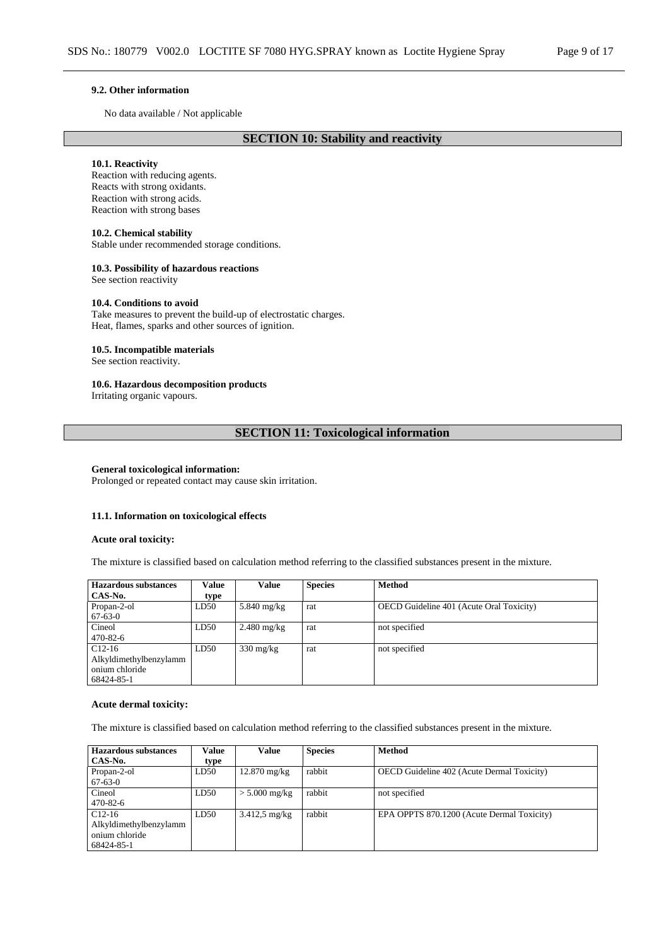#### **9.2. Other information**

No data available / Not applicable

# **SECTION 10: Stability and reactivity**

#### **10.1. Reactivity**

Reaction with reducing agents. Reacts with strong oxidants. Reaction with strong acids. Reaction with strong bases

### **10.2. Chemical stability**

Stable under recommended storage conditions.

## **10.3. Possibility of hazardous reactions**

See section reactivity

## **10.4. Conditions to avoid**

Take measures to prevent the build-up of electrostatic charges. Heat, flames, sparks and other sources of ignition.

## **10.5. Incompatible materials**

See section reactivity.

## **10.6. Hazardous decomposition products**

Irritating organic vapours.

## **SECTION 11: Toxicological information**

#### **General toxicological information:**

Prolonged or repeated contact may cause skin irritation.

#### **11.1. Information on toxicological effects**

#### **Acute oral toxicity:**

The mixture is classified based on calculation method referring to the classified substances present in the mixture.

| <b>Hazardous substances</b> | Value | <b>Value</b>        | <b>Species</b> | <b>Method</b>                            |
|-----------------------------|-------|---------------------|----------------|------------------------------------------|
| CAS-No.                     | type  |                     |                |                                          |
| Propan-2-ol                 | LD50  | $5.840$ mg/kg       | rat            | OECD Guideline 401 (Acute Oral Toxicity) |
| $67-63-0$                   |       |                     |                |                                          |
| Cineol                      | LD50  | $2.480$ mg/kg       | rat            | not specified                            |
| $470 - 82 - 6$              |       |                     |                |                                          |
| $C12-16$                    | LD50  | $330 \text{ mg/kg}$ | rat            | not specified                            |
| Alkyldimethylbenzylamm      |       |                     |                |                                          |
| onium chloride              |       |                     |                |                                          |
| 68424-85-1                  |       |                     |                |                                          |

## **Acute dermal toxicity:**

The mixture is classified based on calculation method referring to the classified substances present in the mixture.

| Hazardous substances   | Value | Value                   | <b>Species</b> | <b>Method</b>                                     |
|------------------------|-------|-------------------------|----------------|---------------------------------------------------|
| CAS-No.                | type  |                         |                |                                                   |
| Propan-2-ol            | LD50  | $12.870$ mg/kg          | rabbit         | <b>OECD</b> Guideline 402 (Acute Dermal Toxicity) |
| $67 - 63 - 0$          |       |                         |                |                                                   |
| Cineol                 | LD50  | $> 5.000$ mg/kg         | rabbit         | not specified                                     |
| $470 - 82 - 6$         |       |                         |                |                                                   |
| $C12-16$               | LD50  | $3.412.5 \text{ mg/kg}$ | rabbit         | EPA OPPTS 870.1200 (Acute Dermal Toxicity)        |
| Alkyldimethylbenzylamm |       |                         |                |                                                   |
| onium chloride         |       |                         |                |                                                   |
| 68424-85-1             |       |                         |                |                                                   |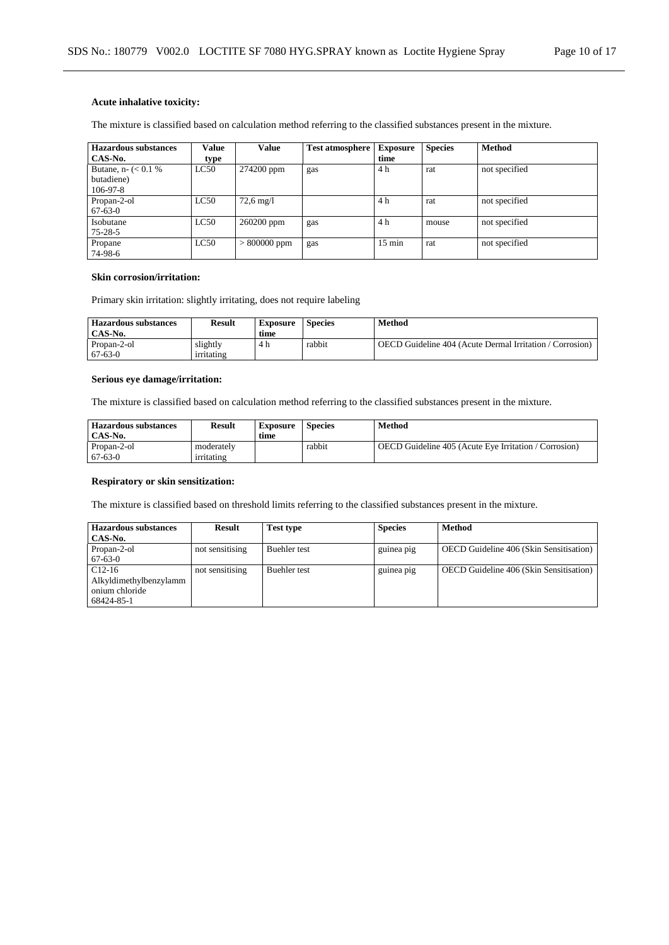## **Acute inhalative toxicity:**

The mixture is classified based on calculation method referring to the classified substances present in the mixture.

| <b>Hazardous substances</b> | <b>Value</b> | Value                  | <b>Test atmosphere</b> | <b>Exposure</b>  | <b>Species</b> | <b>Method</b> |
|-----------------------------|--------------|------------------------|------------------------|------------------|----------------|---------------|
| CAS-No.                     | type         |                        |                        | time             |                |               |
| Butane, n- $(< 0.1 %$       | LC50         | 274200 ppm             | gas                    | 4 h              | rat            | not specified |
| butadiene)                  |              |                        |                        |                  |                |               |
| $106 - 97 - 8$              |              |                        |                        |                  |                |               |
| Propan-2-ol                 | LC50         | $72.6 \,\mathrm{mg}/l$ |                        | 4 h              | rat            | not specified |
| $67 - 63 - 0$               |              |                        |                        |                  |                |               |
| Isobutane                   | LC50         | 260200 ppm             | gas                    | 4 h              | mouse          | not specified |
| $75 - 28 - 5$               |              |                        |                        |                  |                |               |
| Propane                     | LC50         | $>800000$ ppm          | gas                    | $15 \text{ min}$ | rat            | not specified |
| 74-98-6                     |              |                        |                        |                  |                |               |

## **Skin corrosion/irritation:**

Primary skin irritation: slightly irritating, does not require labeling

| <b>Hazardous substances</b><br>CAS-No. | Result                 | <b>Exposure</b><br>time | <b>Species</b> | Method                                                          |
|----------------------------------------|------------------------|-------------------------|----------------|-----------------------------------------------------------------|
| Propan-2-ol<br>$67-63-0$               | slightly<br>irritating | 4 h                     | rabbit         | <b>OECD</b> Guideline 404 (Acute Dermal Irritation / Corrosion) |

## **Serious eye damage/irritation:**

The mixture is classified based on calculation method referring to the classified substances present in the mixture.

| <b>Hazardous substances</b><br>CAS-No. | Result                   | <b>Exposure</b><br>time | <b>Species</b> | Method                                                |
|----------------------------------------|--------------------------|-------------------------|----------------|-------------------------------------------------------|
| Propan-2-ol<br>$67-63-0$               | moderately<br>irritating |                         | rabbit         | OECD Guideline 405 (Acute Eye Irritation / Corrosion) |

## **Respiratory or skin sensitization:**

The mixture is classified based on threshold limits referring to the classified substances present in the mixture.

| <b>Hazardous substances</b><br>CAS-No.                             | <b>Result</b>   | Test type           | <b>Species</b> | Method                                         |
|--------------------------------------------------------------------|-----------------|---------------------|----------------|------------------------------------------------|
| Propan-2-ol<br>$67-63-0$                                           | not sensitising | <b>Buehler</b> test | guinea pig     | <b>OECD</b> Guideline 406 (Skin Sensitisation) |
| $C12-16$<br>Alkyldimethylbenzylamm<br>onium chloride<br>68424-85-1 | not sensitising | <b>Buehler</b> test | guinea pig     | <b>OECD</b> Guideline 406 (Skin Sensitisation) |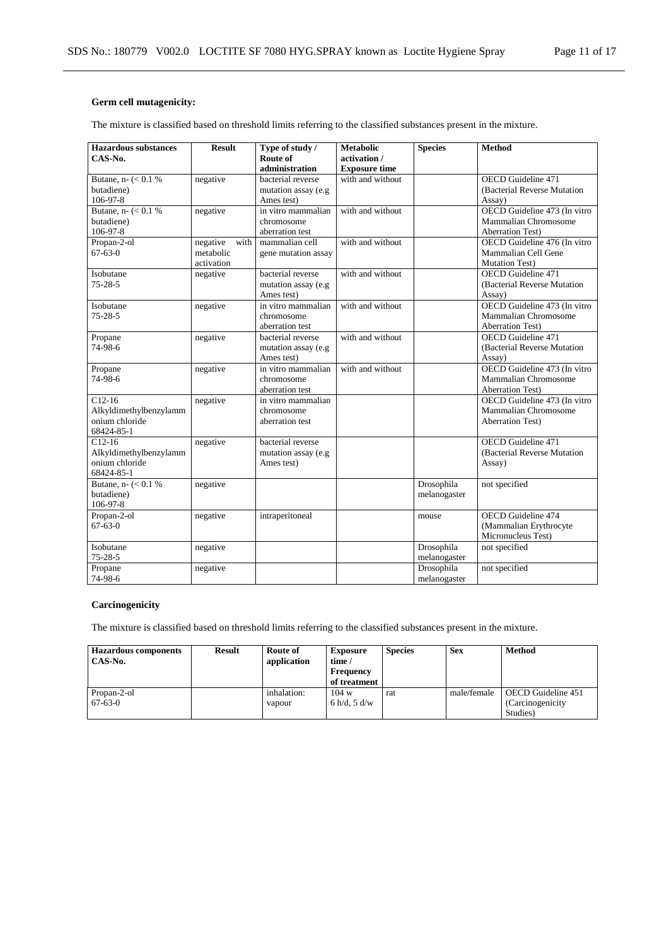# **Germ cell mutagenicity:**

The mixture is classified based on threshold limits referring to the classified substances present in the mixture.

| <b>Hazardous substances</b>          | <b>Result</b>    | Type of study /     | <b>Metabolic</b>     | <b>Species</b> | <b>Method</b>                |
|--------------------------------------|------------------|---------------------|----------------------|----------------|------------------------------|
| $CAS-N0$ .                           |                  | Route of            | activation /         |                |                              |
|                                      |                  | administration      | <b>Exposure time</b> |                |                              |
| Butane, n- $(< 0.1 %$                | negative         | bacterial reverse   | with and without     |                | <b>OECD</b> Guideline 471    |
| butadiene)                           |                  | mutation assay (e.g |                      |                | (Bacterial Reverse Mutation  |
| 106-97-8                             |                  | Ames test)          |                      |                | Assay)                       |
| Butane, $n - \left( < 0.1 \right. %$ | negative         | in vitro mammalian  | with and without     |                | OECD Guideline 473 (In vitro |
| butadiene)                           |                  | chromosome          |                      |                | Mammalian Chromosome         |
| 106-97-8                             |                  | aberration test     |                      |                | <b>Aberration Test)</b>      |
| Propan-2-ol                          | negative<br>with | mammalian cell      | with and without     |                | OECD Guideline 476 (In vitro |
| $67 - 63 - 0$                        | metabolic        | gene mutation assay |                      |                | Mammalian Cell Gene          |
|                                      | activation       |                     |                      |                | <b>Mutation Test)</b>        |
| Isobutane                            | negative         | bacterial reverse   | with and without     |                | <b>OECD</b> Guideline 471    |
| $75 - 28 - 5$                        |                  | mutation assay (e.g |                      |                | (Bacterial Reverse Mutation  |
|                                      |                  | Ames test)          |                      |                | Assay)                       |
| Isobutane                            | negative         | in vitro mammalian  | with and without     |                | OECD Guideline 473 (In vitro |
| $75 - 28 - 5$                        |                  | chromosome          |                      |                | Mammalian Chromosome         |
|                                      |                  | aberration test     |                      |                | <b>Aberration Test)</b>      |
| Propane                              | negative         | bacterial reverse   | with and without     |                | <b>OECD</b> Guideline 471    |
| 74-98-6                              |                  | mutation assay (e.g |                      |                | (Bacterial Reverse Mutation  |
|                                      |                  | Ames test)          |                      |                | Assay)                       |
| Propane                              | negative         | in vitro mammalian  | with and without     |                | OECD Guideline 473 (In vitro |
| 74-98-6                              |                  | chromosome          |                      |                | Mammalian Chromosome         |
|                                      |                  | aberration test     |                      |                | <b>Aberration Test)</b>      |
| $C12-16$                             | negative         | in vitro mammalian  |                      |                | OECD Guideline 473 (In vitro |
| Alkyldimethylbenzylamm               |                  | chromosome          |                      |                | Mammalian Chromosome         |
| onium chloride                       |                  | aberration test     |                      |                | <b>Aberration Test)</b>      |
| 68424-85-1                           |                  |                     |                      |                |                              |
| $C12-16$                             | negative         | bacterial reverse   |                      |                | <b>OECD</b> Guideline 471    |
| Alkyldimethylbenzylamm               |                  | mutation assay (e.g |                      |                | (Bacterial Reverse Mutation  |
| onium chloride                       |                  | Ames test)          |                      |                | Assay)                       |
| 68424-85-1                           |                  |                     |                      |                |                              |
| Butane, n- $(< 0.1 %$                | negative         |                     |                      | Drosophila     | not specified                |
| butadiene)                           |                  |                     |                      | melanogaster   |                              |
| 106-97-8                             |                  |                     |                      |                |                              |
| Propan-2-ol                          | negative         | intraperitoneal     |                      | mouse          | OECD Guideline 474           |
| $67 - 63 - 0$                        |                  |                     |                      |                | (Mammalian Erythrocyte       |
|                                      |                  |                     |                      |                | Micronucleus Test)           |
| Isobutane                            | negative         |                     |                      | Drosophila     | not specified                |
| $75 - 28 - 5$                        |                  |                     |                      | melanogaster   |                              |
| Propane                              | negative         |                     |                      | Drosophila     | not specified                |
| 74-98-6                              |                  |                     |                      | melanogaster   |                              |

# **Carcinogenicity**

The mixture is classified based on threshold limits referring to the classified substances present in the mixture.

| <b>Hazardous components</b><br>CAS-No. | <b>Result</b> | Route of<br>application | <b>Exposure</b><br>time /<br><b>Frequency</b><br>of treatment | <b>Species</b> | <b>Sex</b>  | <b>Method</b>                                       |
|----------------------------------------|---------------|-------------------------|---------------------------------------------------------------|----------------|-------------|-----------------------------------------------------|
| Propan-2-ol<br>$67-63-0$               |               | inhalation:<br>vapour   | 104 w<br>6 h/d, 5 d/w                                         | rat            | male/female | OECD Guideline 451<br>(Carcinogenicity)<br>Studies) |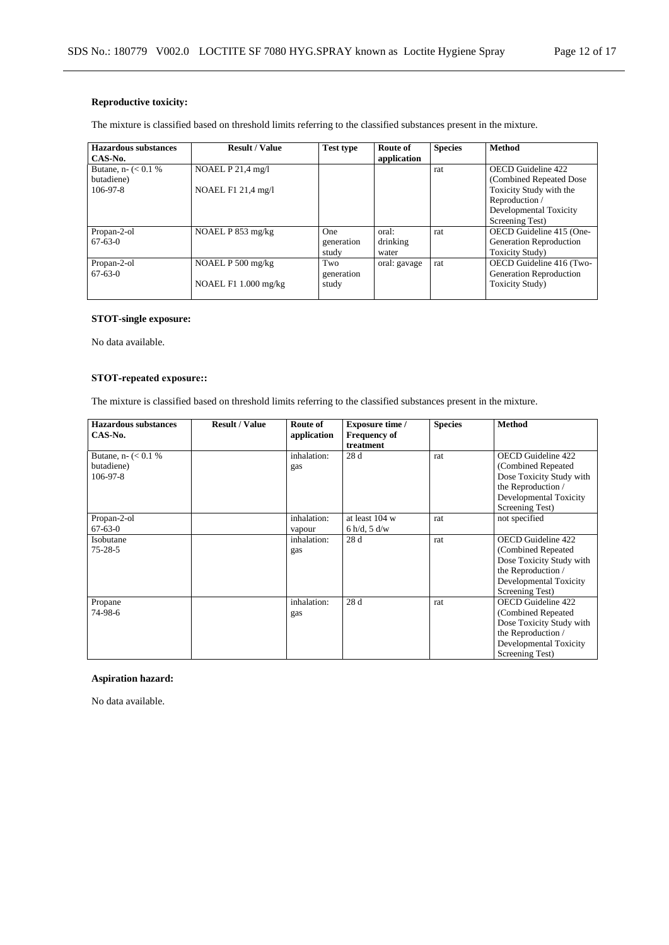# **Reproductive toxicity:**

The mixture is classified based on threshold limits referring to the classified substances present in the mixture.

| Hazardous substances  | <b>Result / Value</b> | <b>Test type</b> | Route of     | <b>Species</b> | <b>Method</b>            |
|-----------------------|-----------------------|------------------|--------------|----------------|--------------------------|
| CAS-No.               |                       |                  | application  |                |                          |
| Butane, n- $(< 0.1 %$ | NOAEL P 21,4 mg/l     |                  |              | rat            | OECD Guideline 422       |
| butadiene)            |                       |                  |              |                | (Combined Repeated Dose) |
| $106-97-8$            | NOAEL F1 21,4 mg/l    |                  |              |                | Toxicity Study with the  |
|                       |                       |                  |              |                | Reproduction /           |
|                       |                       |                  |              |                | Developmental Toxicity   |
|                       |                       |                  |              |                | Screening Test)          |
| Propan-2-ol           | NOAEL P $853$ mg/kg   | One              | oral:        | rat            | OECD Guideline 415 (One- |
| $67-63-0$             |                       | generation       | drinking     |                | Generation Reproduction  |
|                       |                       | study            | water        |                | <b>Toxicity Study</b> )  |
| Propan-2-ol           | NOAEL P 500 mg/kg     | Two              | oral: gavage | rat            | OECD Guideline 416 (Two- |
| $67-63-0$             |                       | generation       |              |                | Generation Reproduction  |
|                       | NOAEL F1 1.000 mg/kg  | study            |              |                | <b>Toxicity Study</b> )  |
|                       |                       |                  |              |                |                          |

## **STOT-single exposure:**

No data available.

## **STOT-repeated exposure::**

The mixture is classified based on threshold limits referring to the classified substances present in the mixture.

| <b>Hazardous substances</b> | <b>Result / Value</b> | Route of    | <b>Exposure time /</b> | <b>Species</b> | <b>Method</b>            |
|-----------------------------|-----------------------|-------------|------------------------|----------------|--------------------------|
| CAS-No.                     |                       | application | <b>Frequency of</b>    |                |                          |
|                             |                       |             | treatment              |                |                          |
| Butane, n- $(< 0.1 %$       |                       | inhalation: | 28 d                   | rat            | OECD Guideline 422       |
| butadiene)                  |                       | gas         |                        |                | (Combined Repeated)      |
| 106-97-8                    |                       |             |                        |                | Dose Toxicity Study with |
|                             |                       |             |                        |                | the Reproduction /       |
|                             |                       |             |                        |                | Developmental Toxicity   |
|                             |                       |             |                        |                | Screening Test)          |
| Propan-2-ol                 |                       | inhalation: | at least 104 w         | rat            | not specified            |
| $67 - 63 - 0$               |                       | vapour      | 6 h/d, 5 d/w           |                |                          |
| Isobutane                   |                       | inhalation: | 28 d                   | rat            | OECD Guideline 422       |
| $75 - 28 - 5$               |                       | gas         |                        |                | (Combined Repeated)      |
|                             |                       |             |                        |                | Dose Toxicity Study with |
|                             |                       |             |                        |                | the Reproduction /       |
|                             |                       |             |                        |                | Developmental Toxicity   |
|                             |                       |             |                        |                | Screening Test)          |
| Propane                     |                       | inhalation: | 28 d                   | rat            | OECD Guideline 422       |
| 74-98-6                     |                       | gas         |                        |                | (Combined Repeated)      |
|                             |                       |             |                        |                | Dose Toxicity Study with |
|                             |                       |             |                        |                | the Reproduction /       |
|                             |                       |             |                        |                | Developmental Toxicity   |
|                             |                       |             |                        |                | Screening Test)          |

## **Aspiration hazard:**

No data available.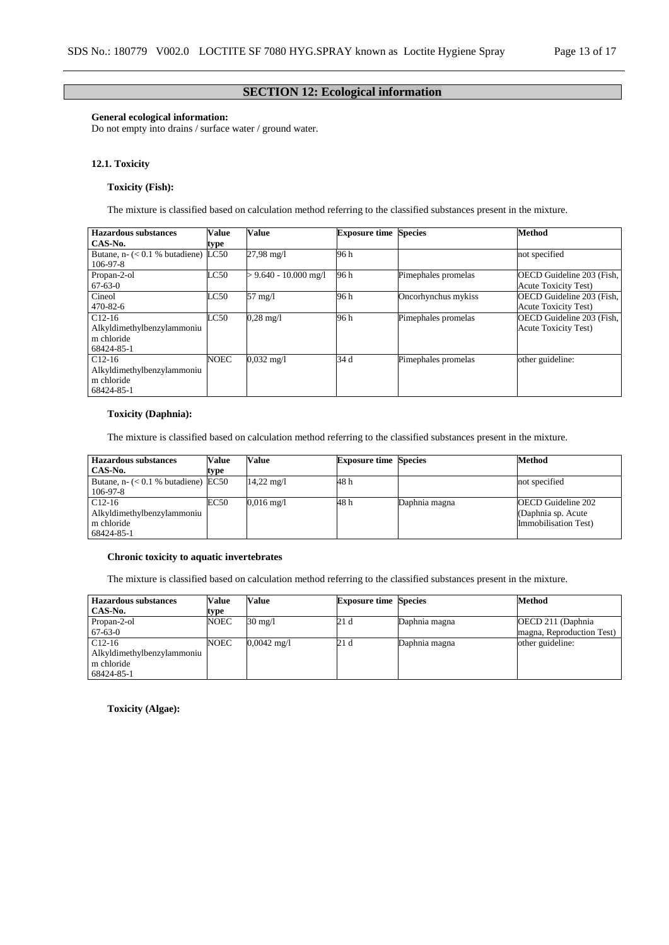## **SECTION 12: Ecological information**

## **General ecological information:**

Do not empty into drains / surface water / ground water.

## **12.1. Toxicity**

## **Toxicity (Fish):**

The mixture is classified based on calculation method referring to the classified substances present in the mixture.

| Hazardous substances             | Value | Value                   | <b>Exposure time Species</b> |                     | Method                      |
|----------------------------------|-------|-------------------------|------------------------------|---------------------|-----------------------------|
| CAS-No.                          | type  |                         |                              |                     |                             |
| Butane, $n-$ (< 0.1 % butadiene) | LC50  | 27,98 mg/l              | 96 h                         |                     | not specified               |
| $106 - 97 - 8$                   |       |                         |                              |                     |                             |
| Propan-2-ol                      | LC50  | $> 9.640 - 10.000$ mg/l | 96 h                         | Pimephales promelas | OECD Guideline 203 (Fish,   |
| $67 - 63 - 0$                    |       |                         |                              |                     | <b>Acute Toxicity Test)</b> |
| Cineol                           | LC50  | 57 mg/l                 | 96 h                         | Oncorhynchus mykiss | OECD Guideline 203 (Fish,   |
| $470 - 82 - 6$                   |       |                         |                              |                     | <b>Acute Toxicity Test)</b> |
| $C12-16$                         | LC50  | $0,28 \text{ mg}/1$     | 96 h                         | Pimephales promelas | OECD Guideline 203 (Fish.   |
| Alkyldimethylbenzylammoniu       |       |                         |                              |                     | <b>Acute Toxicity Test)</b> |
| m chloride                       |       |                         |                              |                     |                             |
| 68424-85-1                       |       |                         |                              |                     |                             |
| $C12-16$                         | NOEC  | $0.032$ mg/l            | 34 d                         | Pimephales promelas | other guideline:            |
| Alkyldimethylbenzylammoniu       |       |                         |                              |                     |                             |
| m chloride                       |       |                         |                              |                     |                             |
| 68424-85-1                       |       |                         |                              |                     |                             |

## **Toxicity (Daphnia):**

The mixture is classified based on calculation method referring to the classified substances present in the mixture.

| <b>Hazardous substances</b>           | <b>Value</b> | Value                   | <b>Exposure time Species</b> |               | Method                    |
|---------------------------------------|--------------|-------------------------|------------------------------|---------------|---------------------------|
| CAS-No.                               | type         |                         |                              |               |                           |
| Butane, $n-$ (< 0.1 % butadiene) EC50 |              | $14,22 \,\mathrm{mg}/l$ | 48 h                         |               | not specified             |
| 106-97-8                              |              |                         |                              |               |                           |
| $C12-16$                              | EC50         | $0.016 \text{ mg}/1$    | 48 h                         | Daphnia magna | <b>OECD</b> Guideline 202 |
| Alkyldimethylbenzylammoniu            |              |                         |                              |               | (Daphnia sp. Acute)       |
| m chloride                            |              |                         |                              |               | Immobilisation Test)      |
| 68424-85-1                            |              |                         |                              |               |                           |

## **Chronic toxicity to aquatic invertebrates**

The mixture is classified based on calculation method referring to the classified substances present in the mixture.

| <b>Hazardous substances</b> | Value | Value                 | <b>Exposure time Species</b> |               | Method                    |
|-----------------------------|-------|-----------------------|------------------------------|---------------|---------------------------|
| CAS-No.                     | type  |                       |                              |               |                           |
| Propan-2-ol                 | NOEC  | $30 \text{ mg}/1$     | 21 d                         | Daphnia magna | OECD 211 (Daphnia)        |
| $67-63-0$                   |       |                       |                              |               | magna, Reproduction Test) |
| $C12-16$                    | NOEC  | $0,0042 \text{ mg/l}$ | 21 d                         | Daphnia magna | other guideline:          |
| Alkyldimethylbenzylammoniu  |       |                       |                              |               |                           |
| m chloride                  |       |                       |                              |               |                           |
| 68424-85-1                  |       |                       |                              |               |                           |

**Toxicity (Algae):**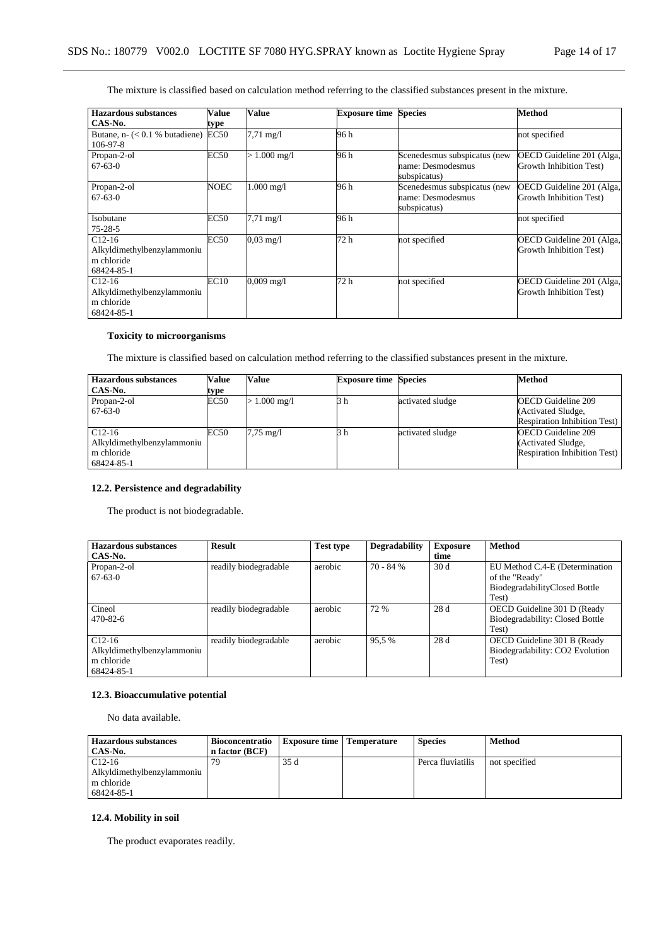The mixture is classified based on calculation method referring to the classified substances present in the mixture.

| <b>Hazardous substances</b>         | Value       | Value                | <b>Exposure time Species</b> |                              | <b>Method</b>             |
|-------------------------------------|-------------|----------------------|------------------------------|------------------------------|---------------------------|
| CAS-No.                             | type        |                      |                              |                              |                           |
| Butane, $n-$ ( $<$ 0.1 % butadiene) | EC50        | $7.71 \text{ mg}/1$  | 96 h                         |                              | not specified             |
| $106 - 97 - 8$                      |             |                      |                              |                              |                           |
| Propan-2-ol                         | <b>EC50</b> | $1.000 \text{ mg}/1$ | 96 h                         | Scenedesmus subspicatus (new | OECD Guideline 201 (Alga, |
| $67 - 63 - 0$                       |             |                      |                              | name: Desmodesmus            | Growth Inhibition Test)   |
|                                     |             |                      |                              | subspicatus)                 |                           |
| Propan-2-ol                         | NOEC        | $1.000$ mg/l         | 96 h                         | Scenedesmus subspicatus (new | OECD Guideline 201 (Alga, |
| $67-63-0$                           |             |                      |                              | name: Desmodesmus            | Growth Inhibition Test)   |
|                                     |             |                      |                              | subspicatus)                 |                           |
| Isobutane                           | <b>EC50</b> | $7.71 \text{ mg}/1$  | 96 h                         |                              | not specified             |
| $75 - 28 - 5$                       |             |                      |                              |                              |                           |
| $C12-16$                            | <b>EC50</b> | $0.03 \text{ mg}/1$  | 72 h                         | not specified                | OECD Guideline 201 (Alga, |
| Alkyldimethylbenzylammoniu          |             |                      |                              |                              | Growth Inhibition Test)   |
| m chloride                          |             |                      |                              |                              |                           |
| 68424-85-1                          |             |                      |                              |                              |                           |
| $C12-16$                            | EC10        | $0,009$ mg/l         | 72 h                         | not specified                | OECD Guideline 201 (Alga, |
| Alkyldimethylbenzylammoniu          |             |                      |                              |                              | Growth Inhibition Test)   |
| m chloride                          |             |                      |                              |                              |                           |
| 68424-85-1                          |             |                      |                              |                              |                           |

## **Toxicity to microorganisms**

The mixture is classified based on calculation method referring to the classified substances present in the mixture.

| <b>Hazardous substances</b> | <b>Value</b> | Value      | <b>Exposure time Species</b> |                  | <b>Method</b>                       |
|-----------------------------|--------------|------------|------------------------------|------------------|-------------------------------------|
| CAS-No.                     | type         |            |                              |                  |                                     |
| Propan-2-ol                 | <b>EC50</b>  | 1.000 mg/l | Зh                           | activated sludge | <b>OECD</b> Guideline 209           |
| $67-63-0$                   |              |            |                              |                  | (Activated Sludge,                  |
|                             |              |            |                              |                  | Respiration Inhibition Test)        |
| $C12-16$                    | EC50         | 7,75 mg/l  |                              | activated sludge | <b>OECD</b> Guideline 209           |
| Alkyldimethylbenzylammoniu  |              |            |                              |                  | (Activated Sludge,                  |
| m chloride                  |              |            |                              |                  | <b>Respiration Inhibition Test)</b> |
| 68424-85-1                  |              |            |                              |                  |                                     |

## **12.2. Persistence and degradability**

The product is not biodegradable.

| <b>Hazardous substances</b><br>CAS-No.                             | <b>Result</b>         | <b>Test type</b> | <b>Degradability</b> | <b>Exposure</b><br>time | <b>Method</b>                                                                              |
|--------------------------------------------------------------------|-----------------------|------------------|----------------------|-------------------------|--------------------------------------------------------------------------------------------|
| Propan-2-ol<br>$67-63-0$                                           | readily biodegradable | aerobic          | $70 - 84%$           | 30d                     | EU Method C.4-E (Determination<br>of the "Ready"<br>BiodegradabilityClosed Bottle<br>Test) |
| Cineol<br>$470 - 82 - 6$                                           | readily biodegradable | aerobic          | 72 %                 | 28d                     | OECD Guideline 301 D (Ready<br>Biodegradability: Closed Bottle<br>Test)                    |
| $C12-16$<br>Alkyldimethylbenzylammoniu<br>m chloride<br>68424-85-1 | readily biodegradable | aerobic          | 95.5 %               | 28d                     | OECD Guideline 301 B (Ready<br>Biodegradability: CO2 Evolution<br>Test)                    |

## **12.3. Bioaccumulative potential**

No data available.

| <b>Hazardous substances</b> | <b>Bioconcentratio</b> | <b>Exposure time</b> Temperature | <b>Species</b>    | Method        |
|-----------------------------|------------------------|----------------------------------|-------------------|---------------|
| CAS-No.                     | n factor (BCF)         |                                  |                   |               |
| $C12-16$                    |                        | 35 d                             | Perca fluviatilis | not specified |
| Alkyldimethylbenzylammoniu  |                        |                                  |                   |               |
| m chloride                  |                        |                                  |                   |               |
| 68424-85-1                  |                        |                                  |                   |               |

# **12.4. Mobility in soil**

The product evaporates readily.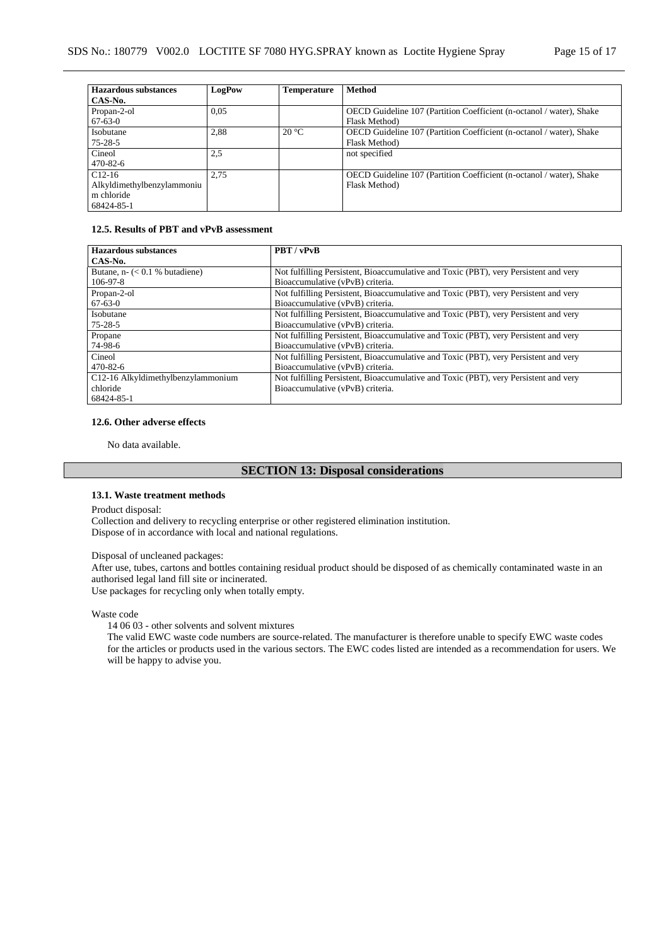| <b>Hazardous substances</b> | LogPow | <b>Temperature</b> | <b>Method</b>                                                        |
|-----------------------------|--------|--------------------|----------------------------------------------------------------------|
| CAS-No.                     |        |                    |                                                                      |
| Propan-2-ol                 | 0.05   |                    | OECD Guideline 107 (Partition Coefficient (n-octanol / water), Shake |
| $67 - 63 - 0$               |        |                    | Flask Method)                                                        |
| Isobutane                   | 2,88   | $20^{\circ}$ C     | OECD Guideline 107 (Partition Coefficient (n-octanol / water), Shake |
| $75 - 28 - 5$               |        |                    | Flask Method)                                                        |
| Cineol                      | 2,5    |                    | not specified                                                        |
| $470 - 82 - 6$              |        |                    |                                                                      |
| $C12-16$                    | 2.75   |                    | OECD Guideline 107 (Partition Coefficient (n-octanol / water), Shake |
| Alkyldimethylbenzylammoniu  |        |                    | Flask Method)                                                        |
| m chloride                  |        |                    |                                                                      |
| 68424-85-1                  |        |                    |                                                                      |

# **12.5. Results of PBT and vPvB assessment**

| <b>Hazardous substances</b>                     | PBT / vPvB                                                                           |
|-------------------------------------------------|--------------------------------------------------------------------------------------|
| CAS-No.                                         |                                                                                      |
| Butane, $n - \left( < 0.1 \right. %$ butadiene) | Not fulfilling Persistent, Bioaccumulative and Toxic (PBT), very Persistent and very |
| $106 - 97 - 8$                                  | Bioaccumulative (vPvB) criteria.                                                     |
| Propan-2-ol                                     | Not fulfilling Persistent, Bioaccumulative and Toxic (PBT), very Persistent and very |
| $67 - 63 - 0$                                   | Bioaccumulative (vPvB) criteria.                                                     |
| Isobutane                                       | Not fulfilling Persistent, Bioaccumulative and Toxic (PBT), very Persistent and very |
| $75 - 28 - 5$                                   | Bioaccumulative (vPvB) criteria.                                                     |
| Propane                                         | Not fulfilling Persistent, Bioaccumulative and Toxic (PBT), very Persistent and very |
| 74-98-6                                         | Bioaccumulative (vPvB) criteria.                                                     |
| Cineol                                          | Not fulfilling Persistent, Bioaccumulative and Toxic (PBT), very Persistent and very |
| $470 - 82 - 6$                                  | Bioaccumulative (vPvB) criteria.                                                     |
| C12-16 Alkyldimethylbenzylammonium              | Not fulfilling Persistent, Bioaccumulative and Toxic (PBT), very Persistent and very |
| chloride                                        | Bioaccumulative (vPvB) criteria.                                                     |
| 68424-85-1                                      |                                                                                      |

## **12.6. Other adverse effects**

No data available.

## **SECTION 13: Disposal considerations**

## **13.1. Waste treatment methods**

Product disposal:

Collection and delivery to recycling enterprise or other registered elimination institution. Dispose of in accordance with local and national regulations.

## Disposal of uncleaned packages:

After use, tubes, cartons and bottles containing residual product should be disposed of as chemically contaminated waste in an authorised legal land fill site or incinerated.

Use packages for recycling only when totally empty.

## Waste code

14 06 03 - other solvents and solvent mixtures

The valid EWC waste code numbers are source-related. The manufacturer is therefore unable to specify EWC waste codes for the articles or products used in the various sectors. The EWC codes listed are intended as a recommendation for users. We will be happy to advise you.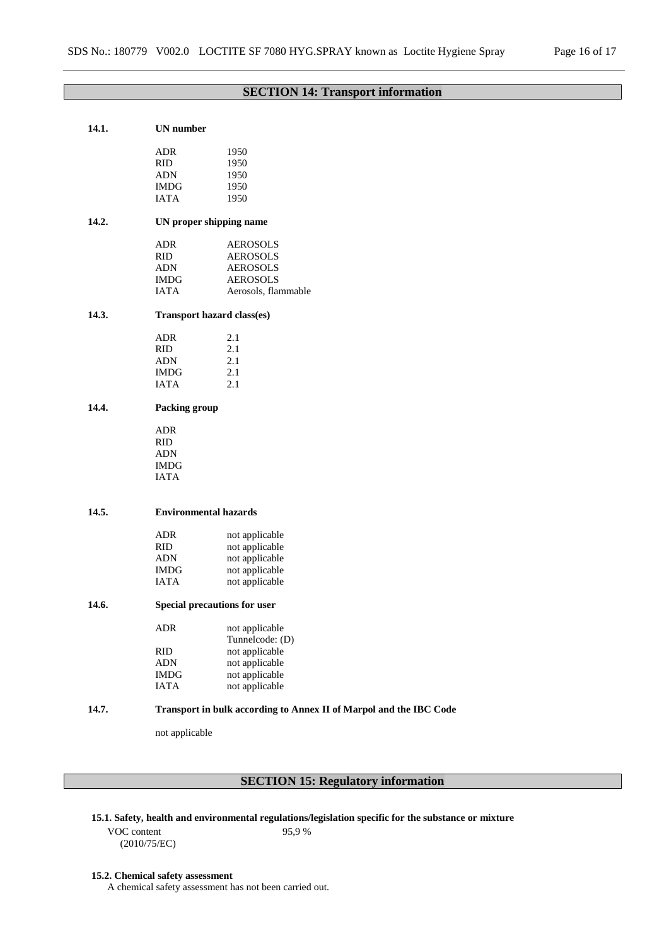# **SECTION 14: Transport information**

| 14.1. | <b>UN</b> number                                                   |                                           |  |  |  |
|-------|--------------------------------------------------------------------|-------------------------------------------|--|--|--|
|       | <b>ADR</b>                                                         | 1950                                      |  |  |  |
|       | <b>RID</b>                                                         | 1950                                      |  |  |  |
|       | <b>ADN</b>                                                         | 1950                                      |  |  |  |
|       | IMDG                                                               | 1950                                      |  |  |  |
|       | <b>IATA</b>                                                        | 1950                                      |  |  |  |
|       |                                                                    |                                           |  |  |  |
| 14.2. |                                                                    | UN proper shipping name                   |  |  |  |
|       | <b>ADR</b>                                                         | <b>AEROSOLS</b>                           |  |  |  |
|       | <b>RID</b>                                                         | <b>AEROSOLS</b>                           |  |  |  |
|       | <b>ADN</b>                                                         | <b>AEROSOLS</b>                           |  |  |  |
|       | <b>IMDG</b>                                                        | <b>AEROSOLS</b>                           |  |  |  |
|       | <b>IATA</b>                                                        | Aerosols, flammable                       |  |  |  |
| 14.3. |                                                                    | Transport hazard class(es)                |  |  |  |
|       | <b>ADR</b>                                                         | 2.1                                       |  |  |  |
|       | <b>RID</b>                                                         | 2.1                                       |  |  |  |
|       | <b>ADN</b>                                                         | 2.1                                       |  |  |  |
|       | <b>IMDG</b>                                                        | 2.1                                       |  |  |  |
|       | <b>IATA</b>                                                        | 2.1                                       |  |  |  |
| 14.4. | Packing group                                                      |                                           |  |  |  |
|       | <b>ADR</b>                                                         |                                           |  |  |  |
|       | <b>RID</b>                                                         |                                           |  |  |  |
|       | ADN                                                                |                                           |  |  |  |
|       | <b>IMDG</b>                                                        |                                           |  |  |  |
|       | <b>IATA</b>                                                        |                                           |  |  |  |
| 14.5. | <b>Environmental hazards</b>                                       |                                           |  |  |  |
|       |                                                                    |                                           |  |  |  |
|       | <b>ADR</b>                                                         | not applicable                            |  |  |  |
|       | <b>RID</b>                                                         | not applicable                            |  |  |  |
|       | <b>ADN</b>                                                         | not applicable                            |  |  |  |
|       | <b>IMDG</b>                                                        | not applicable                            |  |  |  |
|       | <b>IATA</b>                                                        | not applicable                            |  |  |  |
| 14.6. | Special precautions for user                                       |                                           |  |  |  |
|       | ${\sf ADR}$                                                        | not applicable                            |  |  |  |
|       |                                                                    | Tunnelcode: (D)                           |  |  |  |
|       | <b>RID</b>                                                         | not applicable                            |  |  |  |
|       | <b>ADN</b>                                                         | not applicable                            |  |  |  |
|       | <b>IMDG</b>                                                        | not applicable                            |  |  |  |
|       | <b>IATA</b>                                                        | not applicable                            |  |  |  |
| 14.7. | Transport in bulk according to Annex II of Marpol and the IBC Code |                                           |  |  |  |
|       | not applicable                                                     |                                           |  |  |  |
|       |                                                                    |                                           |  |  |  |
|       |                                                                    |                                           |  |  |  |
|       |                                                                    | <b>SECTION 15: Regulatory information</b> |  |  |  |

## **15.1. Safety, health and environmental regulations/legislation specific for the substance or mixture**

VOC content (2010/75/EC) 95,9 %

#### **15.2. Chemical safety assessment**

A chemical safety assessment has not been carried out.